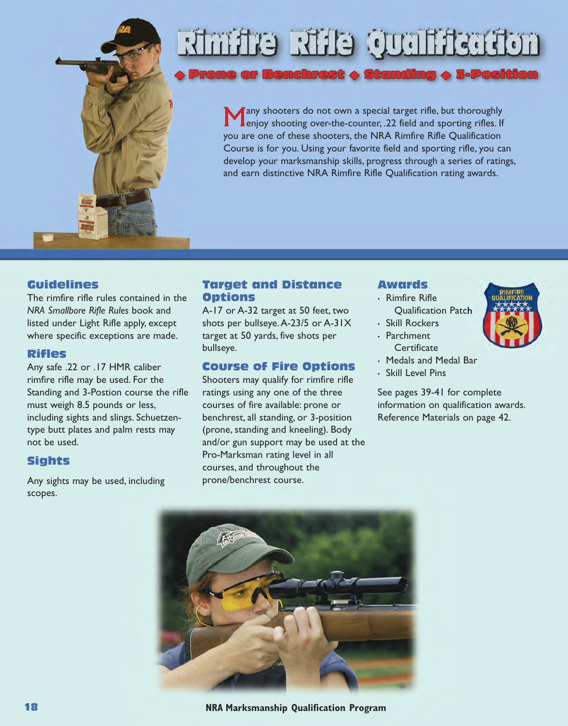

# **Robushiro ettis erhinist**

Benchrest  $\blacklozenge$  Standing

**Many shooters do not own a special target rifle, but thoroughly**<br>enjoy shooting over-the-counter, .22 field and sporting rifles. If you are one of these shooters, the NRA Rimfire Rifle Qualification Course is for you. Using your favorite field and sporting rifle, you can develop your marksmanship skills, progress through a series of ratings, and earn distinctive NRA Rimfire Rifle Qualification rating awards.

#### **Guidelines**

The rimfire rifle rules contained in the *NRA Smallbore Rifle Rules* book and listed under Light Rifle apply, except where specific exceptions are made.

#### **Rifles**

Any safe .22 or .17 HMR caliber rimfire rifle may be used. For the Standing and 3-Postion course the rifle must weigh 8.5 pounds or less, including sights and slings. Schuetzentype butt plates and palm rests may not be used.

#### **Sights**

Any sights may be used, including scopes.

#### **Target and Distance Options**

A-17 or A-32 target at 50 feet, two shots per bullseye.A-23/5 or A-31X target at 50 yards, five shots per bullseye.

#### **Course of Fire Options**

Shooters may qualify for rimfire rifle ratings using any one of the three courses of fire available: prone or benchrest, all standing, or 3-position (prone, standing and kneeling). Body and/or gun support may be used at the Pro-Marksman rating level in all courses, and throughout the prone/benchrest course.

#### **Awards**

- Rimfire Rifle Qualification Patch
- Skill Rockers
- Parchment **Certificate**
- Medals and Medal Bar
- Skill Level Pins

See pages 39-41 for complete information on qualification awards. Reference Materials on page 42.

31-POSICION



**18 NRA Marksmanship Qualification Program**